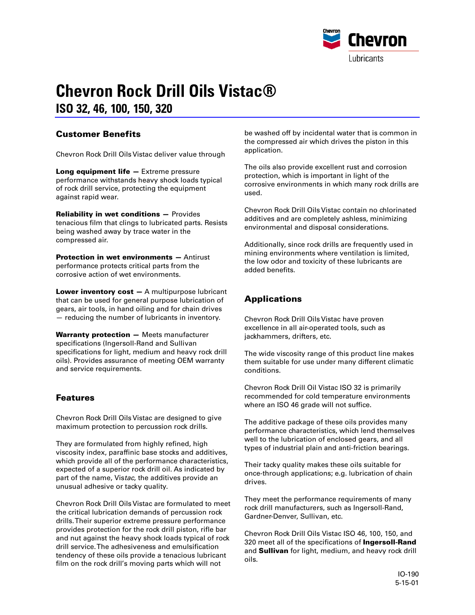

# **Chevron Rock Drill Oils Vistac® ISO 32, 46, 100, 150, 320**

### **Customer Benefits**

Chevron Rock Drill Oils Vistac deliver value through

**Long equipment life —** Extreme pressure performance withstands heavy shock loads typical of rock drill service, protecting the equipment against rapid wear.

**Reliability in wet conditions —** Provides tenacious film that clings to lubricated parts. Resists being washed away by trace water in the compressed air.

**Protection in wet environments —** Antirust performance protects critical parts from the corrosive action of wet environments.

**Lower inventory cost - A multipurpose lubricant** that can be used for general purpose lubrication of gears, air tools, in hand oiling and for chain drives — reducing the number of lubricants in inventory.

**Warranty protection —** Meets manufacturer specifications (Ingersoll-Rand and Sullivan specifications for light, medium and heavy rock drill oils). Provides assurance of meeting OEM warranty and service requirements.

#### **Features**

Chevron Rock Drill Oils Vistac are designed to give maximum protection to percussion rock drills.

They are formulated from highly refined, high viscosity index, paraffinic base stocks and additives, which provide all of the performance characteristics, expected of a superior rock drill oil. As indicated by part of the name, Vistac, the additives provide an unusual adhesive or tacky quality.

Chevron Rock Drill Oils Vistac are formulated to meet the critical lubrication demands of percussion rock drills. Their superior extreme pressure performance provides protection for the rock drill piston, rifle bar and nut against the heavy shock loads typical of rock drill service. The adhesiveness and emulsification tendency of these oils provide a tenacious lubricant film on the rock drill's moving parts which will not

be washed off by incidental water that is common in the compressed air which drives the piston in this application.

The oils also provide excellent rust and corrosion protection, which is important in light of the corrosive environments in which many rock drills are used.

Chevron Rock Drill Oils Vistac contain no chlorinated additives and are completely ashless, minimizing environmental and disposal considerations.

Additionally, since rock drills are frequently used in mining environments where ventilation is limited, the low odor and toxicity of these lubricants are added benefits.

## **Applications**

Chevron Rock Drill Oils Vistac have proven excellence in all air-operated tools, such as jackhammers, drifters, etc.

The wide viscosity range of this product line makes them suitable for use under many different climatic conditions.

Chevron Rock Drill Oil Vistac ISO 32 is primarily recommended for cold temperature environments where an ISO 46 grade will not suffice.

The additive package of these oils provides many performance characteristics, which lend themselves well to the lubrication of enclosed gears, and all types of industrial plain and anti-friction bearings.

Their tacky quality makes these oils suitable for once-through applications; e.g. lubrication of chain drives.

They meet the performance requirements of many rock drill manufacturers, such as Ingersoll-Rand, Gardner-Denver, Sullivan, etc.

Chevron Rock Drill Oils Vistac ISO 46, 100, 150, and 320 meet all of the specifications of **Ingersoll-Rand** and **Sullivan** for light, medium, and heavy rock drill oils.